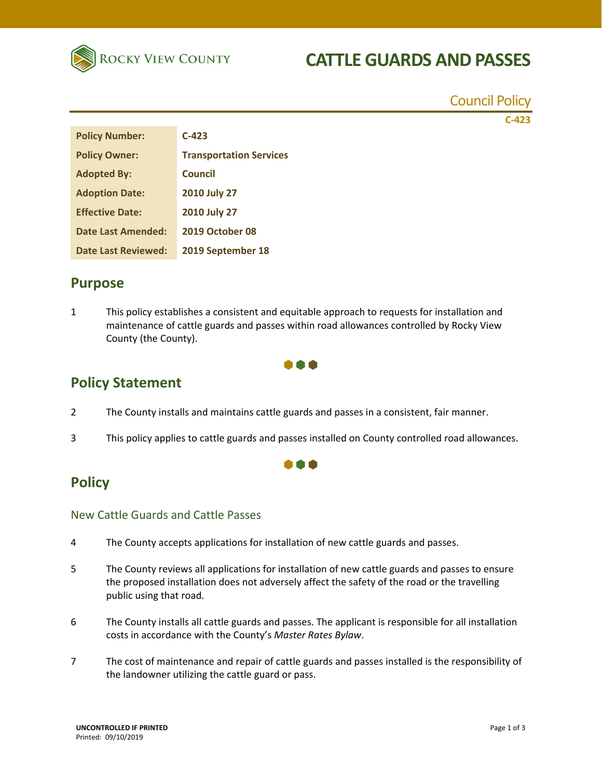

## **CATTLE GUARDS AND PASSES**

|                        |                                | <b>Council Policy</b> |
|------------------------|--------------------------------|-----------------------|
|                        |                                | $C-423$               |
| <b>Policy Number:</b>  | $C-423$                        |                       |
| <b>Policy Owner:</b>   | <b>Transportation Services</b> |                       |
| <b>Adopted By:</b>     | <b>Council</b>                 |                       |
| <b>Adoption Date:</b>  | 2010 July 27                   |                       |
| <b>Effective Date:</b> | 2010 July 27                   |                       |
| Date Last Amended:     | 2019 October 08                |                       |

### **Purpose**

1 This policy establishes a consistent and equitable approach to requests for installation and maintenance of cattle guards and passes within road allowances controlled by Rocky View County (the County).



### **Policy Statement**

- 2 The County installs and maintains cattle guards and passes in a consistent, fair manner.
- 3 This policy applies to cattle guards and passes installed on County controlled road allowances.

#### n a

## **Policy**

#### New Cattle Guards and Cattle Passes

**Date Last Reviewed: 2019 September 18** 

- 4 The County accepts applications for installation of new cattle guards and passes.
- 5 The County reviews all applications for installation of new cattle guards and passes to ensure the proposed installation does not adversely affect the safety of the road or the travelling public using that road.
- 6 The County installs all cattle guards and passes. The applicant is responsible for all installation costs in accordance with the County's *Master Rates Bylaw*.
- 7 The cost of maintenance and repair of cattle guards and passes installed is the responsibility of the landowner utilizing the cattle guard or pass.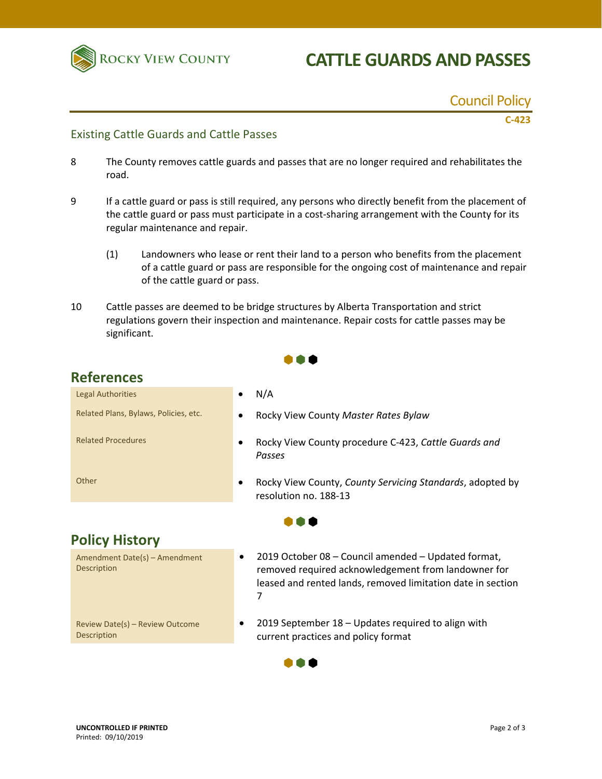

# **CATTLE GUARDS AND PASSES**

Council Policy

**C‐423**

#### Existing Cattle Guards and Cattle Passes

- 8 The County removes cattle guards and passes that are no longer required and rehabilitates the road.
- 9 If a cattle guard or pass is still required, any persons who directly benefit from the placement of the cattle guard or pass must participate in a cost‐sharing arrangement with the County for its regular maintenance and repair.
	- (1) Landowners who lease or rent their land to a person who benefits from the placement of a cattle guard or pass are responsible for the ongoing cost of maintenance and repair of the cattle guard or pass.
- 10 Cattle passes are deemed to be bridge structures by Alberta Transportation and strict regulations govern their inspection and maintenance. Repair costs for cattle passes may be significant.

 $\bullet \bullet \bullet$ 

## **References**

| <b>Legal Authorities</b>                              | N/A                                                                                                                                                                                 |  |
|-------------------------------------------------------|-------------------------------------------------------------------------------------------------------------------------------------------------------------------------------------|--|
| Related Plans, Bylaws, Policies, etc.                 | Rocky View County Master Rates Bylaw                                                                                                                                                |  |
| <b>Related Procedures</b>                             | Rocky View County procedure C-423, Cattle Guards and<br>Passes                                                                                                                      |  |
| Other                                                 | Rocky View County, County Servicing Standards, adopted by<br>resolution no. 188-13                                                                                                  |  |
|                                                       |                                                                                                                                                                                     |  |
| <b>Policy History</b>                                 |                                                                                                                                                                                     |  |
| Amendment Date(s) - Amendment<br><b>Description</b>   | 2019 October 08 – Council amended – Updated format,<br>٠<br>removed required acknowledgement from landowner for<br>leased and rented lands, removed limitation date in section<br>7 |  |
| Review Date(s) - Review Outcome<br><b>Description</b> | 2019 September 18 – Updates required to align with<br>٠<br>current practices and policy format                                                                                      |  |
|                                                       |                                                                                                                                                                                     |  |